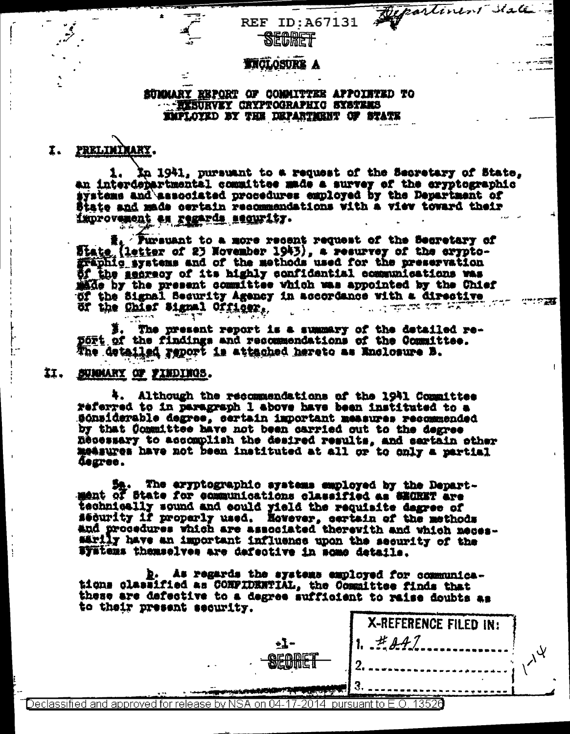### **STROLOSURE A**

SECRET

**REF ID: A67131** 

partirent state

 $\mathbb{R}^{n}$  and  $\mathbb{R}^{n}$ 

#### SUMMARY REPORT OF COMMITTEE APPOINTED TO **EXSURVEY CRYPTOGRAPHIC SYSTEMS EMPLOYED BY THE DEPARTMENT OF STATE**

#### PRELIMINARY. I.

In 1941, pursuant to a request of the Secretary of State, 1. an interdepartmental committee made a survey of the eryptographic systems and associated procedures employed by the Department of State and made certain recommendations with a view toward their improvement as regards security.

E. Tursuant to a more recent request of the Secretary of State (letter of 23 November 1943), a resurvey of the crypto-<br>graphic systems and of the methods used for the preservation of the secrecy of its highly confidential communications was made by the present committee which was appointed by the Chief of the Signal Security Agency in accordance with a directive or the Chief Signal Officer,  $\mathbb{Z}^{\mathbb{Z}}$ 

The present report is a summary of the detailed report of the findings and recommendations of the Committee. The detailed report is attached hereto as Enclosure B.

#### 11, SUMMARY OF FINDINGS.

4. Although the recommendations of the 1941 Committee referred to in paragraph 1 above have been instituted to a Sónsiderable degree, certain important measures recommended by that Committee have not been carried out to the degree Recessary to accomplish the desired results, and sartain other measures have not been instituted at all or to only a partial **Gegree.** 

The eryptographic systems employed by the Depart-Sa. The aryptographic systems employed by the Department of State for communications classified as SECRET are technically sound and could yield the requisite degree of sequrity if properly used. Hovever, certain of the methods and procedures which are associated therewith and which necessarily have an important influence upon the security of the Systems themselves are defective in some details.

b. As regards the systems employed for communications classified as CONFIDENTIAL, the Committee finds that these are defective to a degree sufficient to raise doubts as to their present security.

| . .                                                        | $16.5657$ decorrecements |  |
|------------------------------------------------------------|--------------------------|--|
| ے کا 1116<br>$\sim$                                        |                          |  |
| $- -$                                                      | .                        |  |
|                                                            |                          |  |
| 04.17.2014<br>' for release by NSA on I<br>iroved<br>cara. |                          |  |

X-REFERENCE FILED IN:

 $H$   $0$   $1$   $7$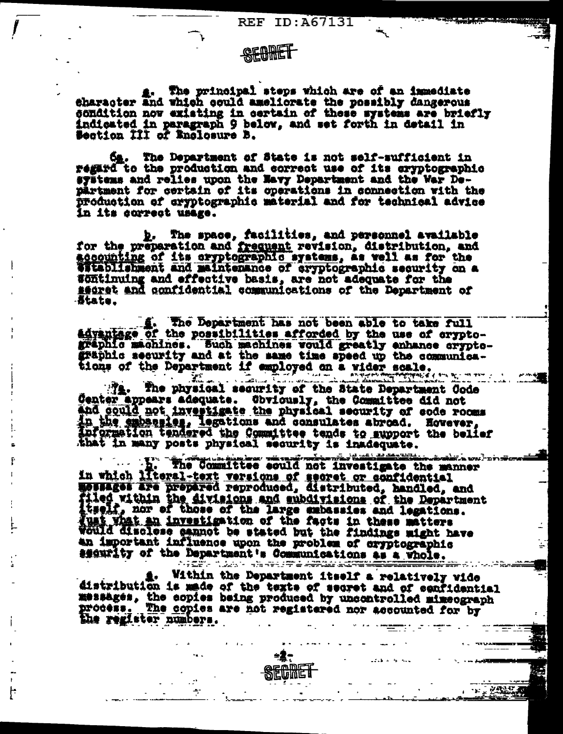REF ID:A67131

## SECRET

4. The principal steps which are of an immediate<br>character and which could ameliorate the possibly dangerous<br>condition now existing in certain of these systems are briefly<br>indicated in paragraph 9 below, and set forth in d Section III of Enclosure B.

Ca. The Department of State is not self-sufficient in regard to the production and correct use of its eryptographic systems and relies upon the Mavy Department and the War Department for certain of its operations in connection with the production of cryptographic material and for technical advice In its correct usage.

b. The space, facilities, and personnel available<br>for the preparation and frequent revision, distribution, and accounting of its eryptographic systems, as vell as for the establishment and maintenance of cryptographic security on a Wontinuing and effective basis, are not adequate for the segret and confidential communications of the Department of -State\_

g. The Department has not been able to take full advantage of the possibilities afforded by the use of cryptographic machines. Such machines would greatly enhance cryptographic security and at the same time speed up the communica-

tions of the Department if employed on a vider scale. Center appears adequate. Obviously, the Committee did not<br>and could not investigate the physical security of code rooms<br>in the subseries, legations and consulates abroad. Hovever, in the emperature, ingestime who weather we was the belief that in many posts physical security is inadequate.

The Committee sould not investigate the manner in which literal-text versions of secret or confidential<br>messages are prepared reproduced, distributed, handled, and<br>filed within the divisions and subdivisions of the Department<br>treat, nor of those of the large expossios hat an investigation of the facts in these matters Would discless sannot be stated but the findings might have security of the Department's Communications as a Whole.

4. Within the Department itself a relatively vide<br>distribution is made of the texts of secret and of eenfidential<br>messages, the copies being produced by uncontrolled mimeograph<br>process. The copies are not registered nor ac Within the Department itself a relatively wide



ŀ

**THE PARTY**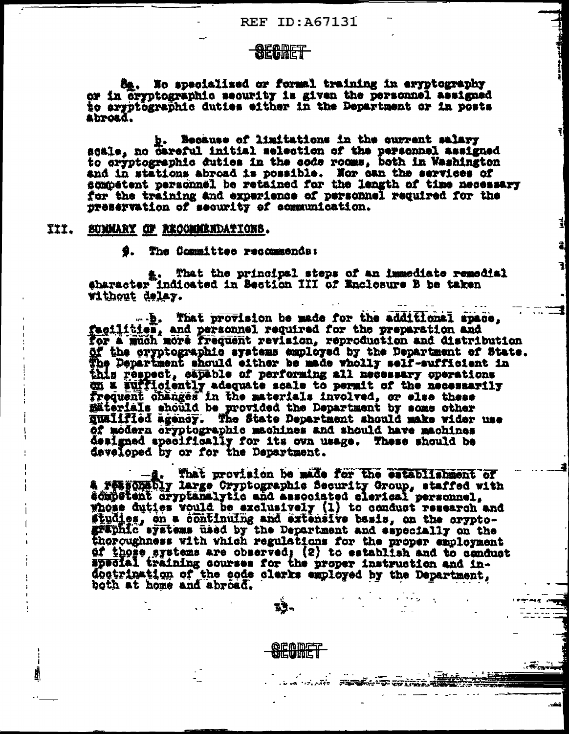## SECRET

8g. No specialized or formal training in eryptography or in Gryptographic security is given the personnel assigned to errptographic duties either in the Department or in posts Abroad.

b. Because of limitations in the current salary<br>scale, no careful initial selection of the personnel assigned<br>to cryptographic duties in the code roces, both in Washington and in stations abroad is possible. Nor can the services of sompetent personnel be retained for the length of time necessary for the training and experience of personnel required for the preservation of security of communication.

### III. SUMMARY OF RECOMMENDATIONS.

9. The Committee recommends:

a. That the principal steps of an immediate remedial @haracter indicated in Section III of Enclosure B be taken without delay.

...... That provision be made for the additional space. facilities, and personnel required for the preparation and for a much more frequent revision, reproduction and distribution of the cryptographic systems employed by the Department of State. The Department should either be made wholly self-sufficient in this respect, capable of performing all necessary operations on a sufficiently adequate scale to permit of the necessarily frequent changes in the materials involved, or else these materials should be provided the Department by some other qualified agency. The State Department shoul of modern cryptographic machines and should have machines designed specifically for its own usage. These should be developed by or for the Department.

That provision be made for the establishment of & FORECORDLY large Cryptographic Security Group, staffed with competent cryptanalytic and associated clerical personnel. whose duties vould be exclusively (1) to conduct research and<br>studies, on a continuing and extensive basis, on the orypto-<br>graphic systems used by the Department and especially on the<br>thoroughness with which regulations fo of those systems are observed; (2) to establish and to conduct<br>special training courses for the proper instruction and indoctrination of the code clarks employed by the Department, both at home and abroad.

**SEGDET** 

 $\sim$   $\sim$   $\sim$   $\sim$ 

 $\mathcal{L}^{\text{max}}$  and  $\mathcal{L}^{\text{max}}$ 

 $\ldots$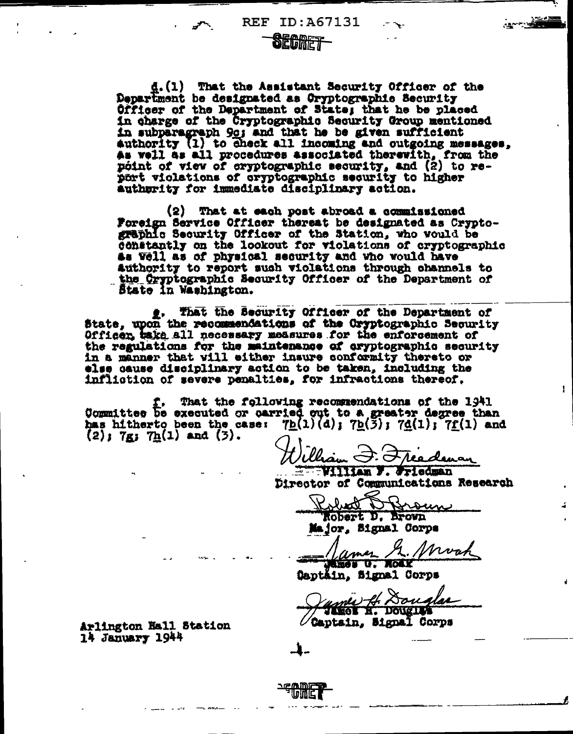**REF ID: A67131** 

## **SECRET**

d. (1) That the Assistant Security Officer of the Department be designated as Oryptographic Security Officer of the Department of State; that he be placed in charge of the Cryptographic Security Group mentioned in subparagraph 9g; and that he be given sufficient authority (1) to check all incoming and outgoing messages. As well as all procedures associated therewith, from the point of view of cryptographic security, and (2) to report violations of cryptographic security to higher autherity for immediate disciplinary action.

(2) That at each post abroad a commissioned Foreign Service Officer thereat be designated as Cryptosraphic Security Officer of the Station, who would be constantly on the lookout for violations of cryptographic as Vell as of physical security and who would have authority to report such violations through channels to the Cryptographic Security Officer of the Department of State in Washington.

g. That the Security Officer of the Department of State, upon the recommendations of the Oryptographic Security Officer take all necessary measures for the enforcement of the regulations for the maintenance of cryptographic security in a manner that will either insure conformity thereto or else cause disciplinary action to be taken, including the infliction of severe penalties, for infractions thereof.

T. That the following recommendations of the 1941<br>Committee be executed or carried out to a greater degree than has hitherto been the case:  $7b(1)(d)$ ;  $7b(\overline{3})$ ;  $7d(1)$ ;  $7f(1)$  and  $(2)$ ; 7g; 7h $(1)$  and  $(3)$ .

Chain J. Freedenan

William F. Friedman Director of Communications Research

 $\mathbf{1}$ 

obact noun Robert D. Brown

Major, Signal Corps

Mwah Mames The

Daptäin, Signal Corps

nes A Douglas THEOR H. DOUGLAS

Captain, Signal Corps

Arlington Hall Station 14 January 1944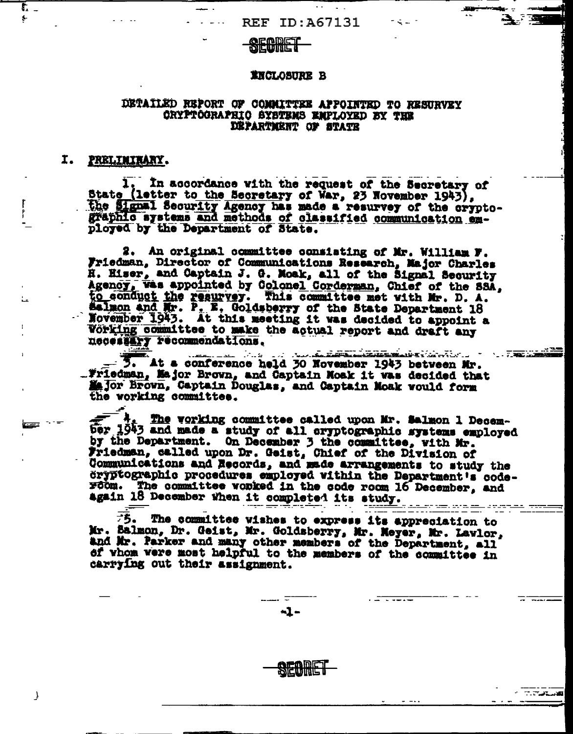### **SECORET**

#### **INCLOSURE B**

### DETAILED REPORT OF COMMITTEE APPOINTED TO RESURVEY CRYPTOGRAPHIC SYSTEMS EMPLOYED BY THE DEPARTMENT OF STATE

#### I. PRELIMINANY.

Г.  $\bullet$ 

> 1. In accordance with the request of the Secretary of State (letter to the Secretary of War, 23 November 1943), graphic systems and methods of classified communication employed by the Department of State.

2. An original committee consisting of Mr. William F. Friedman, Director of Communications Research, Major Charles H. Hiser, and Captain J. G. Moak, all of the Signal Security<br>Agency, was appointed by Colonel Corderman, Chief of the SSA, to conduct the resurvey. This committee met with Mr. D. A. Salmon and Mr. P. E. Goldsberry of the State Department 18 November 1943. At this meeting it was decided to appoint a Vorking committee to make the actual report and draft any necessary recommendations.

<u>. 2008 - Andrej Andrej Standsberg (d. 1988).</u><br>1908 - Andrej Andrej Standsberg, fransk politik (d. 1988). - 3. At a conference held 30 November 1943 between Mr. .. Friedman, Major Brown, and Captain Moak it was decided that Major Brown, Captain Douglas, and Captain Moak would form the working committee.

 $\begin{array}{l} 4.$  The vorking committee called upon Mr. Salmon 1 Decem-<br>ber 1943 and made a study of all cryptographic systems employed<br>by the Department. On December 3 the committee, with Mr. Friedman, called upon Dr. Geist, Chief of the Division of Communications and Records, and made arrangements to study the cryptographic procedures employed within the Department's coderoom. The committee worked in the code room 16 December. and again 18 December when it completed its study.

 $\overline{\overline{5}}$ . The committee wishes to express its appreciation to Mr. Salmon, Dr. Geist, Mr. Goldsberry, Mr. Neyer, Mr. Lavlor, and Mr. Parker and many other members of the Department, all of vhom were most helpful to the members of the committee in carrying out their assignment.

ా. గ్రామం<br>తెలుగు సంగీతం

- ಪ್  $-1-$ 

J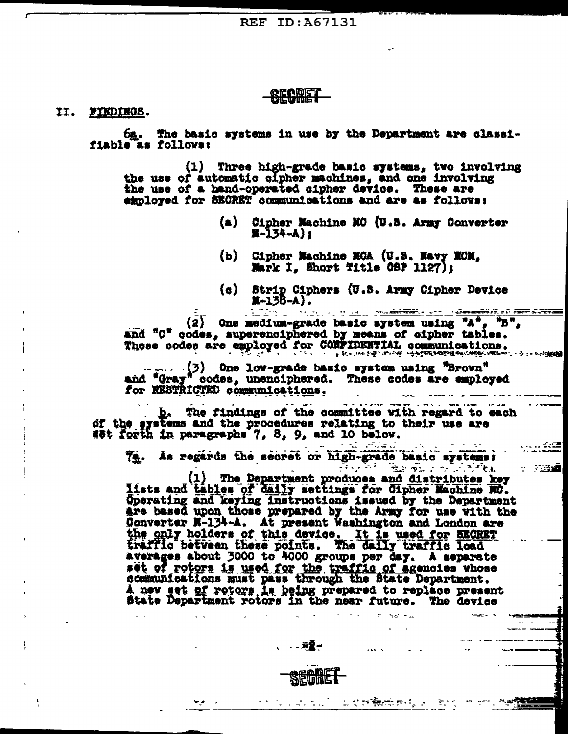### **RECIRET**

#### II. FINDINGS.

6g. The basic systems in use by the Department are classifiable as follows:

(1) Three high-grade basic systems, two involving the use of automatic cipher machines, and one involving the use of a hand-operated sipher device. These are employed for SECRET communications and are as follows:

- $(a)$ Cipher Machine MC (U.S. Army Converter  $\frac{1}{2}$  = 134 - A) 1
- (b) Cipher Machine MCA (U.S. Navy MCM, Mark I. Short Title CSP 1127);
- (c) Strip Ciphers (U.S. Army Cipher Device  $x - 15B - A$ .

- 7236

(2) One medium-grade basic system using  $A^*$ ,  $B^*$ , and "C" codes, superenciphered by means of eipher tables. These codes are employed for CONFIDENTIAL communications.

(3) One low-grade basic system using "Brown"<br>and "Gray" codes, unenciphered. These codes are employed for RESTRICTED communications.

b. The findings of the committee with regard to each of the systems and the procedures relating to their use are Wet forth in paragraphs 7, 8, 9, and 10 below.

74. As regards the secret or high-grade basic systems:

ర్చేస్ కేంద్రం సంస్థ సౌకర్యం (1) The Department produces and distributes key lists and tables of daily settings for Cipher Machine NC.<br>Operating and keying instructions issued by the Department are based upon those prepared by the Army for use with the Converter N-134-A. At present Washington and London are<br>the only holders of this davice. It is used for SECRET<br>traffic between these points. The daily traffic load averages about 3000 to 4000 groups per day. A separate set of rotors is used for the traffic of agencies whose<br>communications must pass through the State Department. A new set of rotors is being prepared to replace present State Department rotors in the near future. The device

 $\overline{\mathbf{a}}$   $\overline{\mathbf{a}}$   $\overline{\mathbf{a}}$   $\overline{\mathbf{a}}$   $\overline{\mathbf{a}}$   $\overline{\mathbf{a}}$   $\overline{\mathbf{a}}$   $\overline{\mathbf{a}}$   $\overline{\mathbf{a}}$   $\overline{\mathbf{a}}$   $\overline{\mathbf{a}}$   $\overline{\mathbf{a}}$   $\overline{\mathbf{a}}$   $\overline{\mathbf{a}}$   $\overline{\mathbf{a}}$   $\overline{\mathbf{a}}$   $\overline{\mathbf{a}}$   $\overline{\mathbf{a}}$   $\overline{\$ 

SECRET

n turnal arm<del>kan</del>ggo bi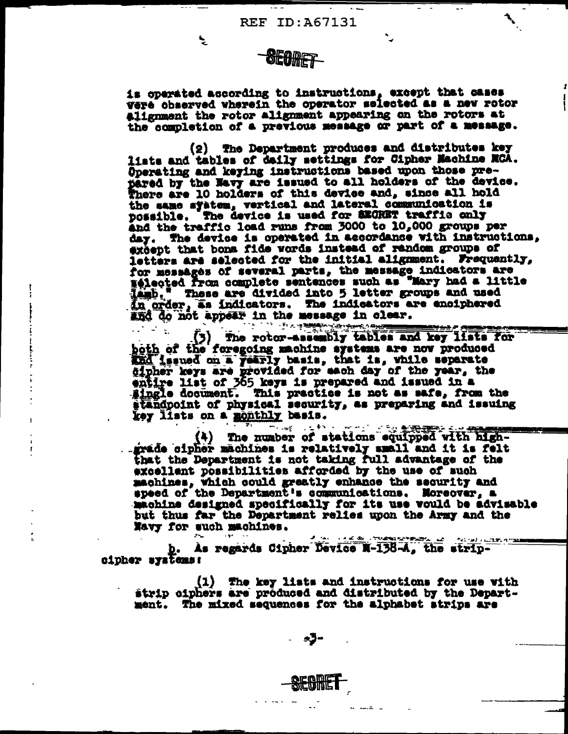# **SEOMET**

ی

is operated according to instructions, except that cases vere observed wherein the operator selected as a new rotor alignment the rotor alignment appearing on the rotors at the completion of a previous message or part of a message.

(2) The Department produces and distributes key liats and tables of daily settings for Cipher Machine MCA. Operating and keying instructions based upon those prepared by the Navy are issued to all holders of the device. There are 10 holders of this device and, since all hold the same system, vertical and lateral communication is possible. The device is used for SEGRET traffic only and the traffic load runs from 3000 to 10,000 groups per day. The device is operated in accordance with instructions. except that bons fide words instead of rendom groups of letters are selected for the initial alignment. Frequently, for messages of several parts, the message indicators are selected from complete sentences such as "Mary had a little lamb." These are divided into 5 letter groups and used<br>in order, as indicators. The indicators are enciphered and do not appear in the message in clear.

(3) The rotor-assembly tables and key lists for both of the foregoing machine systems are now produced that issued on a yearly basis, that is, while separate dipher keys are provided for each day of the year, the entire list of 365 keys is prepared and issued in a single document. This practice is not as safe, from the standpoint of physical security, as preparing and issuing key lists on a monthly basis.

(4) The number of stations equipped with highgrade cipher machines is relatively small and it is felt that the Department is not taking full advantage of the excellent possibilities afforded by the use of such machines, which could greatly enhance the security and speed of the Department's communications. Moreover, a machine designed specifically for its use would be advisable but thus far the Department relies upon the Army and the Navy for such machines.

**A A AN A TURNING PARTY** المتحصل  $\frac{1}{2}$  ,  $\frac{1}{2}$  ,  $\frac{1}{2}$  ,  $\frac{1}{2}$  ,  $\frac{1}{2}$  ,  $\frac{1}{2}$  ,  $\frac{1}{2}$  ,  $\frac{1}{2}$ b. As regards Cipher Device N-138-A. the stripcipher systems:

(1) The key lists and instructions for use with strip ciphers are produced and distributed by the Department. The mixed sequences for the alphabet strips are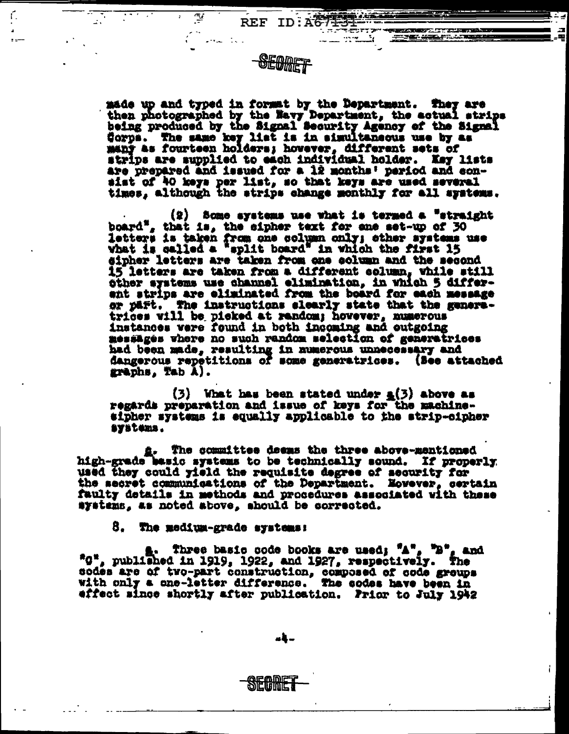made up and typed in format by the Department. They are then photographed by the Navy Department, the actual strips being produced by the Signal Security Agency of the Signal Corps. The same key list is in simultaneous use by as many as fourteen holders; hovever, different sets of strips are supplied to each individual holder. Key lists<br>are prepared and issued for a 12 months' period and consist of 40 keys per list, so that keys are used several times, although the strips change monthly for all systems.

REF ID: AG713

 $\sim$   $\sim$   $\sim$ 

 $(2)$  Some systems use what is termed a "straight board", that is, the sipher text for ane set-up of 30 letters is taken from one column only; other systems use<br>what is called a "split board" in which the first 15 sipher letters are taken from one column and the second 15 letters are taken from a different column, while still other systems use channel elimination, in which 5 differant strips are eliminated from the board for each message or part. The instructions elearly state that the generatrices will be picked at random; hovever, numerous instances were found in both incoming and outgoing messages where no such random selection of generatrices had been made, resulting in numerous unnecessary and<br>dangerous repetitions of some generatrices. (See attached graphs, Tab A).

 $(3)$  What has been stated under  $a(3)$  above as regards preparation and issue of keys for the machinesipher systems is equally applicable to the strip-cipher systems.

a. The committee desms the three above-mentioned high-grade basic systems to be technically sound. If properly used they could yield the requisite degree of security for the secret communications of the Department. Novever, certain faulty details in methods and procedures associated with these systems, as noted above, should be corrected.

#### 3. The medium-grade systems:

ন্দ্ৰ

ſ.

a. Three basic code books are used; "A", "B", and "G", published in 1919, 1922, and 1927, respectively. The sodes are of two-part construction, composed of code groups with only a one-letter difference. The codes have been in effect since shortly after publication. Prior to July 1942

a4..

<u>Sicrume</u>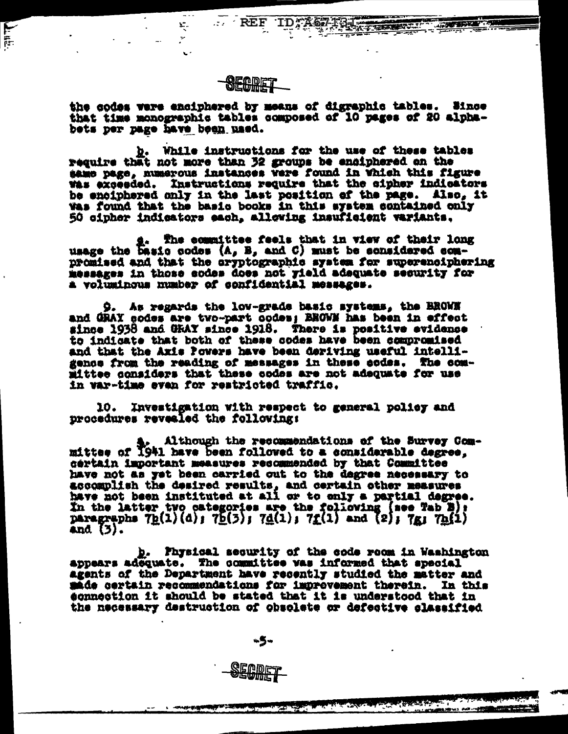

 $\ldots$  REF

Ķ.

Ŷ,

ا<br>پایا

the codes were enciphered by means of digraphic tables. Since that time monographic tables composed of 10 pages of 20 alphabets per page have been used.

b. While instructions for the use of these tables require that not more than 32 groups be enciphered on the same page, numerous instances were found in Which this figure Was exceeded. Instructions require that the cipher indicators be enciphered only in the last position of the page. Also, it was found that the basic books in this system contained only 50 cipher indicators each, allowing insuficient variants.

The committee feels that in view of their long g. The committee reels that in view of their long<br>usage the basic codes (A, B, and C) must be considered compromised and that the oryptographic system for superenciphering messages in those sodes does not yield adaquate security for a voluminous number of confidential messages.

9. As regards the low-grade basic systems, the BROWN and GRAY codes are two-part codes; BROWN has been in effect since 1938 and GRAY since 1918. There is positive evidence<br>to indicate that both of these codes have been compromised and that the Axis Powers have been deriving useful intelligence from the reading of messages in these codes. The committee considers that these codes are not adequate for use in var-time even for restricted traffic.

10. Investigation with respect to general policy and procedures revealed the following:

Although the recommendations of the Survey Comalthough the recommendations or the survey work.<br>mittee of 1941 have been followed to a considerable degree. certain important measures resommended by that Committee have not as yet been carried out to the degree necessary to accomplish the desired results, and certain other measures have not been instituted at all or to only a partial degree. In the latter two categories are the following (see Tab B):<br>paragraphs  $7p(1)(d)$ ;  $7p(3)$ ;  $7d(1)$ ;  $7f(1)$  and  $(2)$ ;  $7g$ ;  $7p(1)$  $and (3).$ 

b. Physical security of the code room in Washington appears adequate. The committee was informed that special agents of the Department have recently studied the matter and made certain recommendations for improvement therein. In this sonnection it should be stated that it is understood that in the necessary destruction of obsolete or defective slassified

**AND AND AND ARRANGEMENT** 

-5-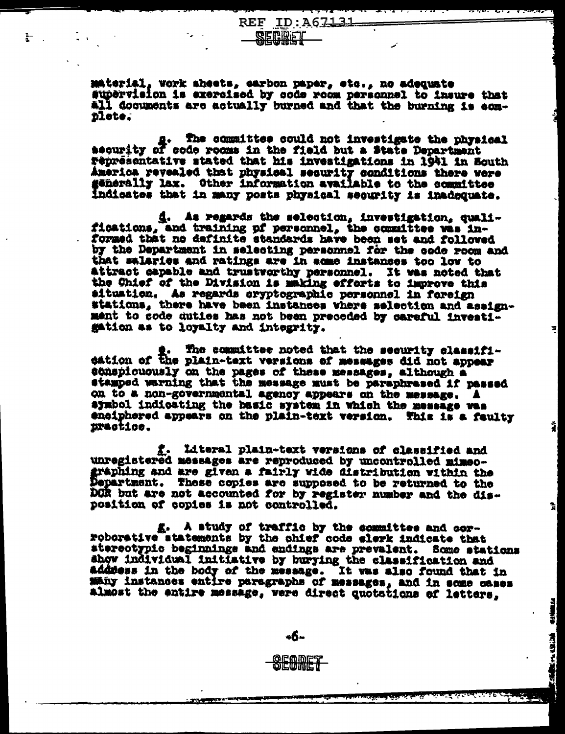material, work aheets, carbon paper, etc., no adequate supervision is exercised by code room personnel to insure that All documents are actually burned and that the burning is com**plete.** 

**REF ID:A67131** 

SECRET

Ì.

. The committee could not investigate the physical security of code rooms in the field but a State Department representative stated that his investigations in 1941 in South America revealed that physical security conditions there were generally lax. Other information available to the committee indicates that in many posts physical security is inadequate.

d. As regards the selection, investigation, qualifications, and training of personnel, the committee was in-<br>formed that no definite standards have been set and followed by the Department in selecting personnel for the code room and that salaries and ratings are in some instances too low to attract capable and trustvorthy personnel. It was noted that the Chief of the Division is making efforts to improve this situation. As regards cryptographic personnel in foreign stations, there have been instances where selection and assignment to code duties has not been preceded by careful investigation as to loyalty and integrity.

확

Ť

뉣

**Talent** 

おいきょう

The committee noted that the security classifie. The commutter noted that the security cinesia.<br>dation of the plain-text versions of messages did not appear echapicuously on the pages of these messages, although a stamped varning that the message must be paraphrased if passed on to a non-governmental agency appears on the message. A aymbol indicating the hasic system in which the message was enciphered appears on the plain-text version. This is a faulty practice.

f. Literal plain-text versions of classified and unregistered messages are reproduced by uncontrolled mimeofraphing and are given a fairly wide distribution within the Department. These copies are supposed to be returned to the DOR but are not accounted for by register number and the disposition of copies is not controlled.

g. A study of traffic by the committee and corroborative statements by the chief code elerk indicate that stereotypic beginnings and endings are prevalent. Some stations show individual initiative by burying the classification and addness in the body of the message. It was also found that in many instances entire paragraphs of messages, and in some cases almost the entire message, were direct quotations of letters,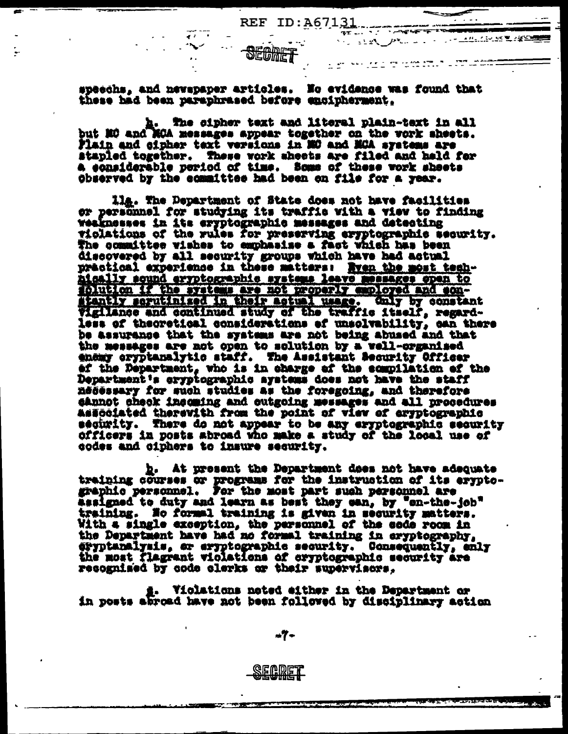n a stat

ಾರ್ಗ ಅಂತ ಸ<u>್ವಾಮಿ</u> ಸ್ವಾಮಿಯಲ್ಲಿ ನಿರ್ದೇಶಿಸಿ

<u> 44. Genea 및 2</u>등으로

SECMET

specchs, and newspaper articles. No evidence was found that these had been paraphrased before encipherment.

h. The cipher text and literal plain-text in all but NC and MCA messages appear together on the vork sheets. Plain and cipher text versions in MO and MCA systems are stapled together. These vork sheets are filed and held for a eonsiderable period of time. Some of these vork sheets chserved by the committee had been on file for a year.

lla. The Department of State does not have facilities or personnel for studying its traffic with a view to finding weaknesses in its eryptographic messages and detecting violations of the rules for preserving eryptographic security.<br>The committee wishes to emphasise a fact which has been discovered by all security groups which have had actual practical experience in these matters: Nyen the most techhigally sqund eryptographic systems leave messages open to solution if the systems are not properly employed and son-<br>stantly serutinized in their actual usage. Only by constant Vigilance and continued study of the traffic itself, regardless of theoretical considerations of unsolvability, can there be assurance that the systems are not being abused and that the messages are not open to solution by a vell-organised enemy eryptanalytic staff. The Assistant Security Officer of the Department, who is in charge of the compilation of the Department's eryptographic aystems does not have the staff necessary for such studies as the foregoing, and therefore sannot check incoming and outgoing messages and all procedures Associated therevith from the point of view of eryptographic ségurity. There do not appear to be any eryptographic security officers in posts abroad who make a study of the local use of codes and ciphers to insure security.

b. At present the Department does not have adequate training courses or programs for the instruction of its eryptographic personnel. For the most part such personnel are assigned to duty and learn as best they can, by "en-the-job" training. No formal training is given in security matters. With a single exception, the personnel of the code room in the Department have had no formal training in eryptography. eryptanalysis, or eryptographic security. Consequently, enly the most flagrant violations of cryptographic security are recognised by code clerks or their supervisors.

Violations noted either in the Department or in posts abroad have not been followed by disciplinary action

 $-7-$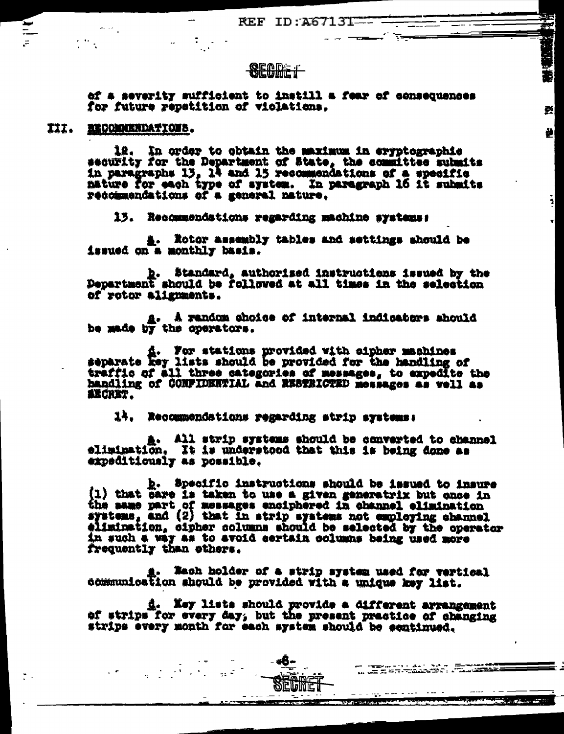REF ID: A67131---

Ŧ,

즭

差

 $\frac{1}{2}$ 

## **SECDET**

of a severity sufficient to instill a fear of consequences for future repetition of violations.

XII. MECOMMENDATIONS.

12. In order to obtain the maximum in eryptographic<br>security for the Department of State, the committee submits<br>in paragraphs 13, 14 and 15 recommendations of a specific<br>mature for each type of system. In paragraph 16 it s recommendations of a general nature.

13. Recommendations regarding machine systems:

A. Rotor assembly tables and settings should be issued on a monthly basis.

b. Standard, authorized instructions issued by the Pepartment should be followed at all times in the selection of rotor alignments.

a. A random shoice of internal indicators should be made by the operators.

d. For stations provided with cipher machines<br>separate key lists should be provided for the handling of<br>traffic of all three categories of messages, to expedite the handling of CONFIDENTIAL and RESTRICTED messages as well as **AECRET.** 

14. Recommendations regarding strip systems:

A. All strip systems should be converted to channel elimination. It is understood that this is being done as expeditiously as possible.

 $\frac{b}{1}$ . Specific instructions should be issued to insure<br>(1) that care is taken to use a given generatrix but once in<br>the same part of messages enciphered in channel elimination<br>systems, and (2) that in strip systems n elimination, cipher columns should be selected by the operator in such a way as to avoid sertain columns being used more frequently than ethers.

. Nach holder of a strip system used for vertical sommunication should be provided with a unique key list.

d. Xey lists should provide a different arrangement of strips for every day, but the present practice of changing strips every month for each system should be centinued.

en ingen de staten de la componie de la partie de la componie de la componie de la componie de la componie de<br>Descripción de la componie de la componie de la componie de la componie de la componie de la componie de la co

**All States of the Company of the Company** 

 $\label{eq:2.1} \begin{split} \mathcal{F}^{\frac{1}{2}}_{\mathcal{F}} & = \frac{1}{2} \frac{1}{2} \sum_{i=1}^{2} \frac{1}{2} \sum_{j=1}^{2} \frac{1}{2} \sum_{j=1}^{2} \frac{1}{2} \sum_{j=1}^{2} \frac{1}{2} \sum_{j=1}^{2} \frac{1}{2} \sum_{j=1}^{2} \frac{1}{2} \sum_{j=1}^{2} \frac{1}{2} \sum_{j=1}^{2} \frac{1}{2} \sum_{j=1}^{2} \frac{1}{2} \sum_{j=1}^{2} \frac{1}{2$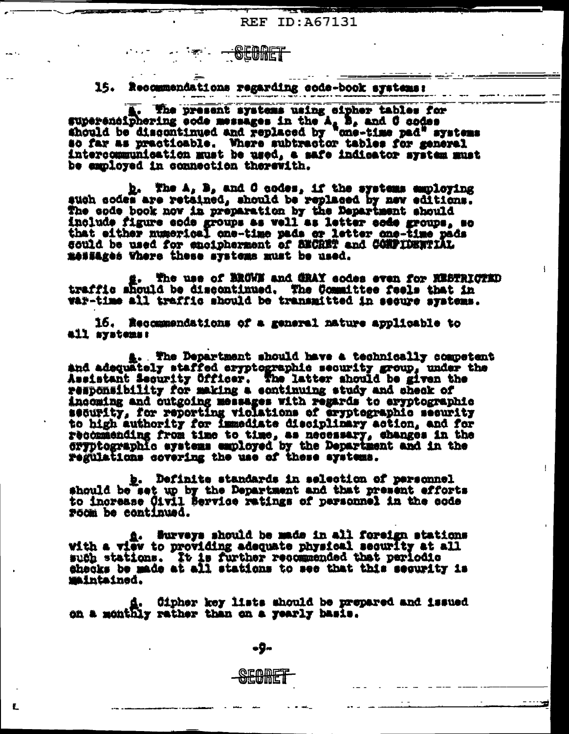**CEODET** 

15. Recommendations regarding code-book systems:

. The present systems using eipher tables for superenciphering eode messages in the A, B, and C codes should be discontinued and replaced by ane-time pad" systems so far as practicable. Where subtractor tables for general intercommunication must be used, a safe indicator system must be employed in connection therewith.

h. The A, B, and C codes, if the systems employing such sodes are retained, should be replaced by new editions.<br>The code book now in preparation by the Department should include figure sode groups as well as letter eads groups, so that either numerical one-time pads or letter one-time pads could be used for encipherment of BECRET and CONFIDENTIAL messages Vhere these systems must be used.

The use of BROWN and GRAY sodes even for KESTRICTED g. The use of BROWN and GRAY sodes even for RESTRICT<br>traffic should be discontinued. The Committee feels that in<br>war-time all traffic should be transmitted in secure systems.

16. Recommendations of a general nature applicable to all systems:

A. The Department should have a technically competent and adequately staffed eryptographic security group, under the Assistant Security Officer. The latter should be given the responsibility for making a continuing study and check of incoming and outgoing messages with regards to eryptographic<br>security, for reporting violations of eryptographic security to high authority for immediate disciplinary action, and for recommending from time to time, as necessary, changes in the cryptographic systems employed by the Department and in the regulations covering the use of these systems.

b. Definite standards in selection of personnel should be set up by the Department and that present efforts to increase Civil Service ratings of personnel in the code room be continued.

A. Surveys should be made in all foreign stations with a view to providing adequate physical security at all such stations. It is further recommended that periodic shecks be made at all stations to see that this sequrity is **Maintained.** 

d. Cipher key lists should be prepared and issued on a monthly rather than on a yearly hasis.

÷9~

ECANET

Ł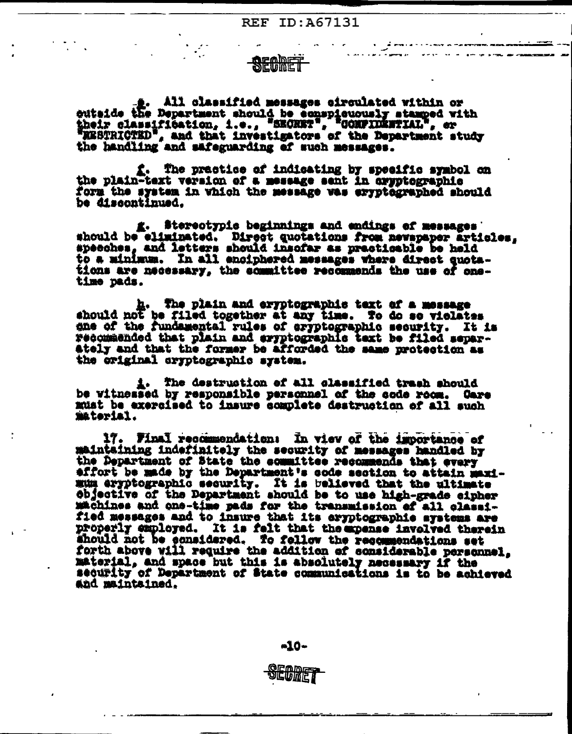**REF ID: A67131** 

# **SEQDET**

 $\frac{1}{2}$ . All classified messages circulated within or<br>witside the Department should be conspicuously stamped with<br>their classification, i.e., "SECRET", "CONFIDENTIAL", or<br>WESTRICTED", and that investigators of the Winte , and that investigators of the Department study the handling and safeguarding of such messages.

f. The practice of indicating by specific symbol on the plain-text version of a message sent in aryptographic form the system in which the message was eryptegraphed should be discontinued.

g. Stereotypie beginnings and endings of messages should be eliminated. Direct quotations from newspaper articles, specches, and letters should insofar as practicable be held to a minimum. In all enciphered messages where direct quotations are necessary, the committee recommends the use of onetime pads.

h. The plain and eryptographic text of a message should not be filed together at any time. To do se violates one of the fundamental rules of aryptographic security. It is recommended that plain and eryptographic text be filed separately and that the former be afforded the same protection as the original cryptographic system.

i. The destruction of all classified trash should be witnessed by responsible personnel of the code room. Gare must be exercised to insure complete destruction of all such material.

17. Final recommendation: In view of the importance of maintaining indefinitely the security of messages handled by the Department of State the committee recommends that every affort be made by the Department's code section to attain maximum aryptographic security. It is believed that the ultimate objective of the Department should be to use high-grade cipher machines and one-time pads for the transmission of all classified messages and to insure that its eryptographic systems are properly employed. It is felt that the momes involved therein should not be considered. To follow the recommendations set forth above will require the addition of considerable personnel. material, and space but this is absolutely necessary if the sequrity of Department of State communications is to be achieved and maintained.

 $-10-$ 

SEORET